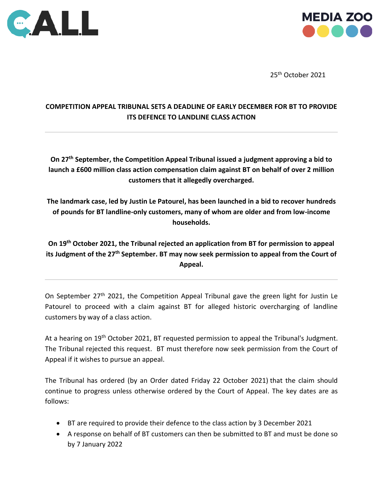



25th October 2021

# **COMPETITION APPEAL TRIBUNAL SETS A DEADLINE OF EARLY DECEMBER FOR BT TO PROVIDE ITS DEFENCE TO LANDLINE CLASS ACTION**

**On 27th September, the Competition Appeal Tribunal issued a judgment approving a bid to launch a £600 million class action compensation claim against BT on behalf of over 2 million customers that it allegedly overcharged.**

**The landmark case, led by Justin Le Patourel, has been launched in a bid to recover hundreds of pounds for BT landline-only customers, many of whom are older and from low-income households.**

**On 19th October 2021, the Tribunal rejected an application from BT for permission to appeal its Judgment of the 27th September. BT may now seek permission to appeal from the Court of Appeal.**

On September 27<sup>th</sup> 2021, the Competition Appeal Tribunal gave the green light for Justin Le Patourel to proceed with a claim against BT for alleged historic overcharging of landline customers by way of a class action.

At a hearing on 19<sup>th</sup> October 2021, BT requested permission to appeal the Tribunal's Judgment. The Tribunal rejected this request. BT must therefore now seek permission from the Court of Appeal if it wishes to pursue an appeal.

The Tribunal has ordered (by an Order dated Friday 22 October 2021) that the claim should continue to progress unless otherwise ordered by the Court of Appeal. The key dates are as follows:

- BT are required to provide their defence to the class action by 3 December 2021
- A response on behalf of BT customers can then be submitted to BT and must be done so by 7 January 2022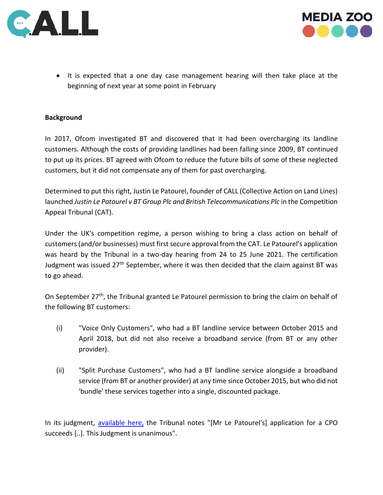



• It is expected that a one day case management hearing will then take place at the beginning of next year at some point in February

## **Background**

In 2017, Ofcom investigated BT and discovered that it had been overcharging its landline customers. Although the costs of providing landlines had been falling since 2009, BT continued to put up its prices. BT agreed with Ofcom to reduce the future bills of some of these neglected customers, but it did not compensate any of them for past overcharging.

Determined to put this right, Justin Le Patourel, founder of CALL (Collective Action on Land Lines) launched *Justin Le Patourel v BT Group Plc and British Telecommunications Plc* in the Competition Appeal Tribunal (CAT).

Under the UK's competition regime, a person wishing to bring a class action on behalf of customers (and/or businesses) must first secure approval from the CAT. Le Patourel's application was heard by the Tribunal in a two-day hearing from 24 to 25 June 2021. The certification Judgment was issued  $27<sup>th</sup>$  September, where it was then decided that the claim against BT was to go ahead.

On September 27<sup>th</sup>, the Tribunal granted Le Patourel permission to bring the claim on behalf of the following BT customers:

- (i) "Voice Only Customers", who had a BT landline service between October 2015 and April 2018, but did not also receive a broadband service (from BT or any other provider).
- (ii) "Split Purchase Customers", who had a BT landline service alongside a broadband service (from BT or another provider) at any time since October 2015, but who did not 'bundle' these services together into a single, discounted package.

In its judgment, [available here,](https://www.catribunal.org.uk/sites/default/files/2021-09/20210927_Case_1381_JLP_BT_Judgment.pdf) the Tribunal notes "[Mr Le Patourel's] application for a CPO succeeds [..]. This Judgment is unanimous".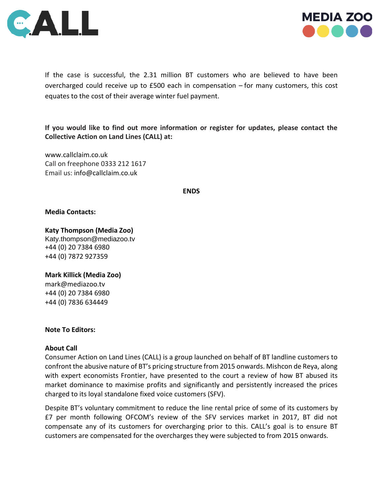



If the case is successful, the 2.31 million BT customers who are believed to have been overcharged could receive up to £500 each in compensation – for many customers, this cost equates to the cost of their average winter fuel payment.

**If you would like to find out more information or register for updates, please contact the Collective Action on Land Lines (CALL) at:**

[www.callclaim.co.uk](http://www.callclaim.co.uk/) Call on freephone 0333 212 1617 Email us: [info@callclaim.co.uk](mailto:info@callclaim.co.uk)

**ENDS**

### **Media Contacts:**

**Katy Thompson (Media Zoo)** 

[Katy.thompson@mediazoo.tv](mailto:Katy.thompson@mediazoo.tv) +44 (0) 20 7384 6980 +44 (0) 7872 927359

**Mark Killick (Media Zoo)** [mark@mediazoo.tv](mailto:mark@mediazoo.tv)  +44 (0) 20 7384 6980 +44 (0) 7836 634449

### **Note To Editors:**

### **About Call**

Consumer Action on Land Lines (CALL) is a group launched on behalf of BT landline customers to confront the abusive nature of BT's pricing structure from 2015 onwards. Mishcon de Reya, along with expert economists Frontier, have presented to the court a review of how BT abused its market dominance to maximise profits and significantly and persistently increased the prices charged to its loyal standalone fixed voice customers (SFV).

Despite BT's voluntary commitment to reduce the line rental price of some of its customers by £7 per month following OFCOM's review of the SFV services market in 2017, BT did not compensate any of its customers for overcharging prior to this. CALL's goal is to ensure BT customers are compensated for the overcharges they were subjected to from 2015 onwards.